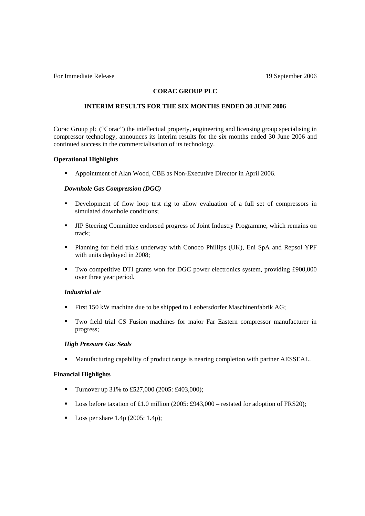For Immediate Release 19 September 2006

## **CORAC GROUP PLC**

## **INTERIM RESULTS FOR THE SIX MONTHS ENDED 30 JUNE 2006**

Corac Group plc ("Corac") the intellectual property, engineering and licensing group specialising in compressor technology, announces its interim results for the six months ended 30 June 2006 and continued success in the commercialisation of its technology.

## **Operational Highlights**

! Appointment of Alan Wood, CBE as Non-Executive Director in April 2006.

## *Downhole Gas Compression (DGC)*

- ! Development of flow loop test rig to allow evaluation of a full set of compressors in simulated downhole conditions;
- ! JIP Steering Committee endorsed progress of Joint Industry Programme, which remains on track;
- ! Planning for field trials underway with Conoco Phillips (UK), Eni SpA and Repsol YPF with units deployed in 2008;
- ! Two competitive DTI grants won for DGC power electronics system, providing £900,000 over three year period.

## *Industrial air*

- ! First 150 kW machine due to be shipped to Leobersdorfer Maschinenfabrik AG;
- ! Two field trial CS Fusion machines for major Far Eastern compressor manufacturer in progress;

#### *High Pressure Gas Seals*

! Manufacturing capability of product range is nearing completion with partner AESSEAL.

## **Financial Highlights**

- **Turnover up 31% to £527,000 (2005: £403,000);**
- **Loss before taxation of £1.0 million (2005: £943,000** restated for adoption of FRS20);
- $\blacksquare$  Loss per share 1.4p (2005: 1.4p);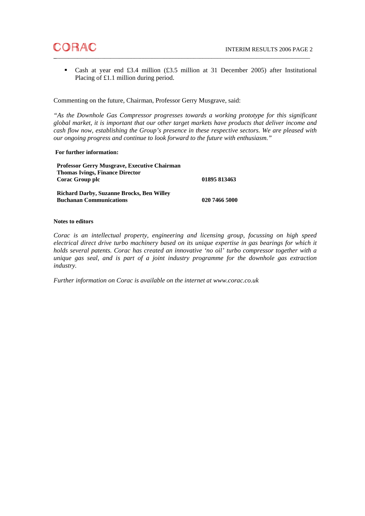

! Cash at year end £3.4 million (£3.5 million at 31 December 2005) after Institutional Placing of £1.1 million during period.

Commenting on the future, Chairman, Professor Gerry Musgrave, said:

*"As the Downhole Gas Compressor progresses towards a working prototype for this significant global market, it is important that our other target markets have products that deliver income and cash flow now, establishing the Group's presence in these respective sectors. We are pleased with our ongoing progress and continue to look forward to the future with enthusiasm."* 

## **For further information:**

**Professor Gerry Musgrave, Executive Chairman Thomas Ivings, Finance Director Corac Group plc 01895 813463 Richard Darby, Suzanne Brocks, Ben Willey Buchanan Communications** 020 7466 5000

#### **Notes to editors**

*Corac is an intellectual property, engineering and licensing group, focussing on high speed electrical direct drive turbo machinery based on its unique expertise in gas bearings for which it holds several patents. Corac has created an innovative 'no oil' turbo compressor together with a unique gas seal, and is part of a joint industry programme for the downhole gas extraction industry.* 

*Further information on Corac is available on the internet at www.corac.co.uk*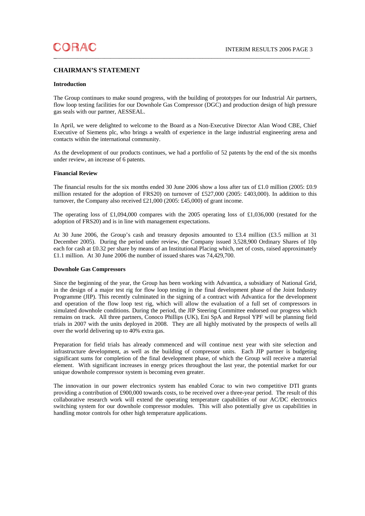## **CHAIRMAN'S STATEMENT**

#### **Introduction**

The Group continues to make sound progress, with the building of prototypes for our Industrial Air partners, flow loop testing facilities for our Downhole Gas Compressor (DGC) and production design of high pressure gas seals with our partner, AESSEAL.

In April, we were delighted to welcome to the Board as a Non-Executive Director Alan Wood CBE, Chief Executive of Siemens plc, who brings a wealth of experience in the large industrial engineering arena and contacts within the international community.

As the development of our products continues, we had a portfolio of 52 patents by the end of the six months under review, an increase of 6 patents.

#### **Financial Review**

The financial results for the six months ended 30 June 2006 show a loss after tax of £1.0 million (2005: £0.9 million restated for the adoption of FRS20) on turnover of £527,000 (2005: £403,000). In addition to this turnover, the Company also received £21,000 (2005: £45,000) of grant income.

The operating loss of £1,094,000 compares with the 2005 operating loss of £1,036,000 (restated for the adoption of FRS20) and is in line with management expectations.

At 30 June 2006, the Group's cash and treasury deposits amounted to £3.4 million (£3.5 million at 31 December 2005). During the period under review, the Company issued 3,528,900 Ordinary Shares of 10p each for cash at £0.32 per share by means of an Institutional Placing which, net of costs, raised approximately £1.1 million. At 30 June 2006 the number of issued shares was 74,429,700.

#### **Downhole Gas Compressors**

Since the beginning of the year, the Group has been working with Advantica, a subsidiary of National Grid, in the design of a major test rig for flow loop testing in the final development phase of the Joint Industry Programme (JIP). This recently culminated in the signing of a contract with Advantica for the development and operation of the flow loop test rig, which will allow the evaluation of a full set of compressors in simulated downhole conditions. During the period, the JIP Steering Committee endorsed our progress which remains on track. All three partners, Conoco Phillips (UK), Eni SpA and Repsol YPF will be planning field trials in 2007 with the units deployed in 2008. They are all highly motivated by the prospects of wells all over the world delivering up to 40% extra gas.

Preparation for field trials has already commenced and will continue next year with site selection and infrastructure development, as well as the building of compressor units. Each JIP partner is budgeting significant sums for completion of the final development phase, of which the Group will receive a material element. With significant increases in energy prices throughout the last year, the potential market for our unique downhole compressor system is becoming even greater.

The innovation in our power electronics system has enabled Corac to win two competitive DTI grants providing a contribution of £900,000 towards costs, to be received over a three-year period. The result of this collaborative research work will extend the operating temperature capabilities of our AC/DC electronics switching system for our downhole compressor modules. This will also potentially give us capabilities in handling motor controls for other high temperature applications.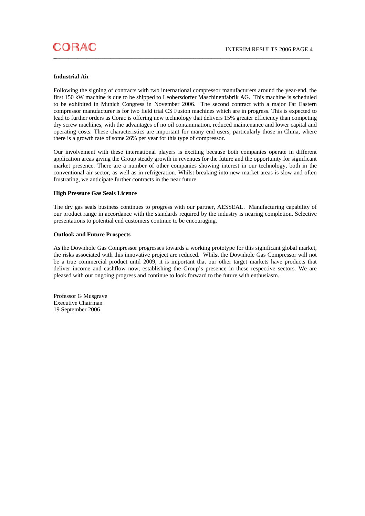#### **Industrial Air**

Following the signing of contracts with two international compressor manufacturers around the year-end, the first 150 kW machine is due to be shipped to Leobersdorfer Maschinenfabrik AG. This machine is scheduled to be exhibited in Munich Congress in November 2006. The second contract with a major Far Eastern compressor manufacturer is for two field trial CS Fusion machines which are in progress. This is expected to lead to further orders as Corac is offering new technology that delivers 15% greater efficiency than competing dry screw machines, with the advantages of no oil contamination, reduced maintenance and lower capital and operating costs. These characteristics are important for many end users, particularly those in China, where there is a growth rate of some 26% per year for this type of compressor.

Our involvement with these international players is exciting because both companies operate in different application areas giving the Group steady growth in revenues for the future and the opportunity for significant market presence. There are a number of other companies showing interest in our technology, both in the conventional air sector, as well as in refrigeration. Whilst breaking into new market areas is slow and often frustrating, we anticipate further contracts in the near future.

#### **High Pressure Gas Seals Licence**

The dry gas seals business continues to progress with our partner, AESSEAL. Manufacturing capability of our product range in accordance with the standards required by the industry is nearing completion. Selective presentations to potential end customers continue to be encouraging.

#### **Outlook and Future Prospects**

As the Downhole Gas Compressor progresses towards a working prototype for this significant global market, the risks associated with this innovative project are reduced. Whilst the Downhole Gas Compressor will not be a true commercial product until 2009, it is important that our other target markets have products that deliver income and cashflow now, establishing the Group's presence in these respective sectors. We are pleased with our ongoing progress and continue to look forward to the future with enthusiasm.

Professor G Musgrave Executive Chairman 19 September 2006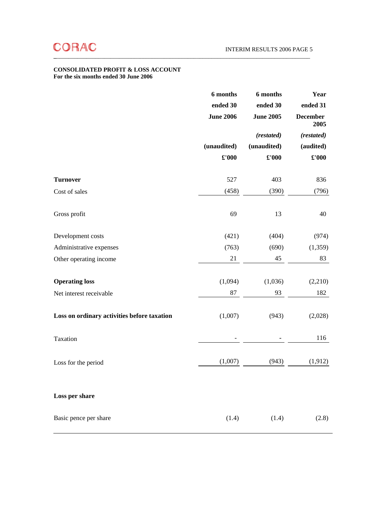## **CONSOLIDATED PROFIT & LOSS ACCOUNT For the six months ended 30 June 2006**

|                                             | 6 months<br>ended 30 | 6 months<br>ended 30 | Year<br>ended 31        |  |
|---------------------------------------------|----------------------|----------------------|-------------------------|--|
|                                             | <b>June 2006</b>     | <b>June 2005</b>     | <b>December</b><br>2005 |  |
|                                             |                      | (restated)           | (restated)              |  |
|                                             | (unaudited)          | (unaudited)          | (audited)               |  |
|                                             | £'000                | £'000                | $\pounds 000$           |  |
| <b>Turnover</b>                             | 527                  | 403                  | 836                     |  |
| Cost of sales                               | (458)                | (390)                | (796)                   |  |
| Gross profit                                | 69                   | 13                   | 40                      |  |
| Development costs                           | (421)                | (404)                | (974)                   |  |
| Administrative expenses                     | (763)                | (690)                | (1,359)                 |  |
| Other operating income                      | 21                   | 45                   | 83                      |  |
| <b>Operating loss</b>                       | (1,094)              | (1,036)              | (2,210)                 |  |
| Net interest receivable                     | 87                   | 93                   | 182                     |  |
| Loss on ordinary activities before taxation | (1,007)              | (943)                | (2,028)                 |  |
| Taxation                                    |                      |                      | 116                     |  |
| Loss for the period                         | (1,007)              | (943)                | (1,912)                 |  |
| Loss per share                              |                      |                      |                         |  |
| Basic pence per share                       | (1.4)                | (1.4)                | (2.8)                   |  |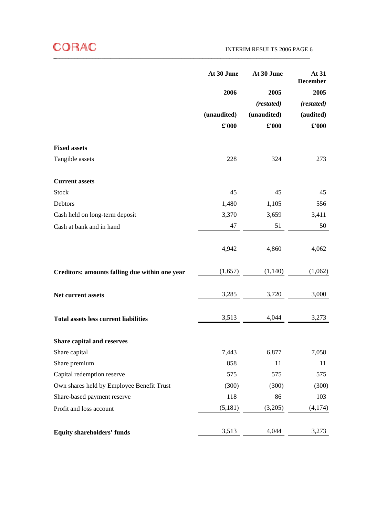|                                                | At 30 June    | At 30 June  | At 31<br><b>December</b> |
|------------------------------------------------|---------------|-------------|--------------------------|
|                                                | 2006          | 2005        | 2005                     |
|                                                |               | (restated)  | (restated)               |
|                                                | (unaudited)   | (unaudited) | (audited)                |
|                                                | $\pounds 000$ | £'000       | £'000                    |
| <b>Fixed assets</b>                            |               |             |                          |
| Tangible assets                                | 228           | 324         | 273                      |
| <b>Current assets</b>                          |               |             |                          |
| <b>Stock</b>                                   | 45            | 45          | 45                       |
| Debtors                                        | 1,480         | 1,105       | 556                      |
| Cash held on long-term deposit                 | 3,370         | 3,659       | 3,411                    |
| Cash at bank and in hand                       | 47            | 51          | 50                       |
|                                                | 4,942         | 4,860       | 4,062                    |
| Creditors: amounts falling due within one year | (1,657)       | (1,140)     | (1,062)                  |
| Net current assets                             | 3,285         | 3,720       | 3,000                    |
| <b>Total assets less current liabilities</b>   | 3,513         | 4,044       | 3,273                    |
| <b>Share capital and reserves</b>              |               |             |                          |
| Share capital                                  | 7,443         | 6,877       | 7,058                    |
| Share premium                                  | 858           | 11          | 11                       |
| Capital redemption reserve                     | 575           | 575         | 575                      |
| Own shares held by Employee Benefit Trust      | (300)         | (300)       | (300)                    |
| Share-based payment reserve                    | 118           | 86          | 103                      |
| Profit and loss account                        | (5,181)       | (3,205)     | (4,174)                  |
| <b>Equity shareholders' funds</b>              | 3,513         | 4,044       | 3,273                    |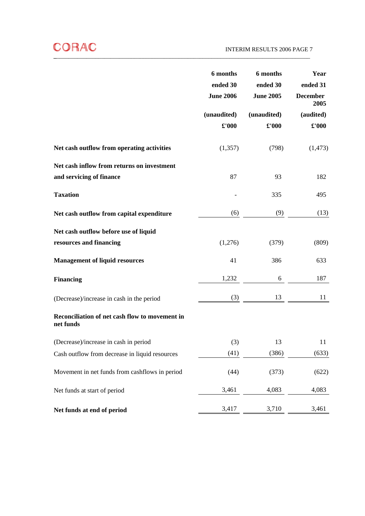|                                                             | 6 months<br>ended 30<br><b>June 2006</b> | 6 months<br>ended 30<br><b>June 2005</b> | Year<br>ended 31<br><b>December</b><br>2005 |
|-------------------------------------------------------------|------------------------------------------|------------------------------------------|---------------------------------------------|
|                                                             | (unaudited)<br>$\pounds$ '000            | (unaudited)<br>£'000                     | (audited)<br>$\pounds$ '000                 |
|                                                             |                                          |                                          |                                             |
| Net cash outflow from operating activities                  | (1,357)                                  | (798)                                    | (1, 473)                                    |
| Net cash inflow from returns on investment                  |                                          |                                          |                                             |
| and servicing of finance                                    | 87                                       | 93                                       | 182                                         |
| <b>Taxation</b>                                             |                                          | 335                                      | 495                                         |
| Net cash outflow from capital expenditure                   | (6)                                      | (9)                                      | (13)                                        |
| Net cash outflow before use of liquid                       |                                          |                                          |                                             |
| resources and financing                                     | (1,276)                                  | (379)                                    | (809)                                       |
| <b>Management of liquid resources</b>                       | 41                                       | 386                                      | 633                                         |
| <b>Financing</b>                                            | 1,232                                    | 6                                        | 187                                         |
| (Decrease)/increase in cash in the period                   | (3)                                      | 13                                       | 11                                          |
| Reconciliation of net cash flow to movement in<br>net funds |                                          |                                          |                                             |
| (Decrease)/increase in cash in period                       | (3)                                      | 13                                       | 11                                          |
| Cash outflow from decrease in liquid resources              | (41)                                     | (386)                                    | (633)                                       |
| Movement in net funds from cashflows in period              | (44)                                     | (373)                                    | (622)                                       |
| Net funds at start of period                                | 3,461                                    | 4,083                                    | 4,083                                       |
| Net funds at end of period                                  | 3,417                                    | 3,710                                    | 3,461                                       |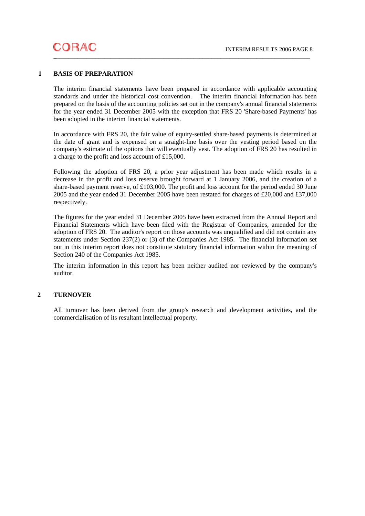## **1 BASIS OF PREPARATION**

The interim financial statements have been prepared in accordance with applicable accounting standards and under the historical cost convention. The interim financial information has been prepared on the basis of the accounting policies set out in the company's annual financial statements for the year ended 31 December 2005 with the exception that FRS 20 'Share-based Payments' has been adopted in the interim financial statements.

In accordance with FRS 20, the fair value of equity-settled share-based payments is determined at the date of grant and is expensed on a straight-line basis over the vesting period based on the company's estimate of the options that will eventually vest. The adoption of FRS 20 has resulted in a charge to the profit and loss account of £15,000.

Following the adoption of FRS 20, a prior year adjustment has been made which results in a decrease in the profit and loss reserve brought forward at 1 January 2006, and the creation of a share-based payment reserve, of £103,000. The profit and loss account for the period ended 30 June 2005 and the year ended 31 December 2005 have been restated for charges of £20,000 and £37,000 respectively.

The figures for the year ended 31 December 2005 have been extracted from the Annual Report and Financial Statements which have been filed with the Registrar of Companies, amended for the adoption of FRS 20. The auditor's report on those accounts was unqualified and did not contain any statements under Section 237(2) or (3) of the Companies Act 1985. The financial information set out in this interim report does not constitute statutory financial information within the meaning of Section 240 of the Companies Act 1985.

The interim information in this report has been neither audited nor reviewed by the company's auditor.

## **2 TURNOVER**

All turnover has been derived from the group's research and development activities, and the commercialisation of its resultant intellectual property.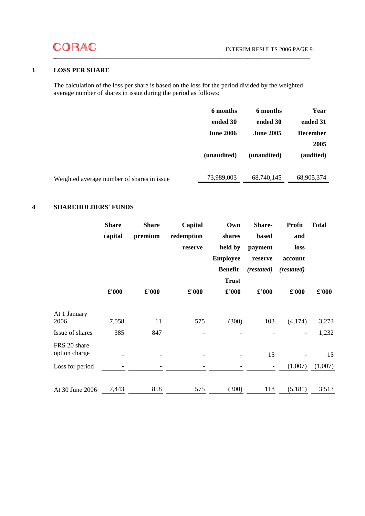# **\_**\_\_\_\_\_\_\_\_\_\_\_\_\_\_\_\_\_\_\_\_\_\_\_\_\_\_\_\_\_\_\_\_\_\_\_\_\_\_\_\_\_\_\_\_\_\_\_\_\_\_\_\_\_\_\_\_\_\_\_\_\_\_\_\_\_\_\_\_\_\_\_\_\_\_\_\_\_\_\_\_\_\_\_\_\_

# **3 LOSS PER SHARE**

The calculation of the loss per share is based on the loss for the period divided by the weighted average number of shares in issue during the period as follows:

|                                            | 6 months         | 6 months         | Year            |
|--------------------------------------------|------------------|------------------|-----------------|
|                                            | ended 30         | ended 30         | ended 31        |
|                                            | <b>June 2006</b> | <b>June 2005</b> | <b>December</b> |
|                                            |                  |                  | 2005            |
|                                            | (unaudited)      | (unaudited)      | (audited)       |
|                                            |                  |                  |                 |
| Weighted average number of shares in issue | 73,989,003       | 68,740,145       | 68,905,374      |
|                                            |                  |                  |                 |

## **4 SHAREHOLDERS' FUNDS**

|                               | <b>Share</b> | <b>Share</b>                | Capital       | Own             | Share-                      | Profit                   | <b>Total</b> |
|-------------------------------|--------------|-----------------------------|---------------|-----------------|-----------------------------|--------------------------|--------------|
|                               | capital      | premium                     | redemption    | shares          | based                       | and                      |              |
|                               |              |                             | reserve       | held by         | payment                     | loss                     |              |
|                               |              |                             |               | <b>Employee</b> | reserve                     | account                  |              |
|                               |              |                             |               | <b>Benefit</b>  | (restated)                  | (restated)               |              |
|                               |              |                             |               | <b>Trust</b>    |                             |                          |              |
|                               | $E'000$      | $\pmb{\pounds}^{\prime}000$ | $\pounds 000$ | $\pounds$ '000  | $\pmb{\pounds}^{\prime}000$ | $\pmb{\pounds}$ '000     | £'000        |
| At 1 January<br>2006          | 7,058        | 11                          | 575           | (300)           | 103                         | (4,174)                  | 3,273        |
| Issue of shares               | 385          | 847                         |               |                 |                             | $\overline{\phantom{a}}$ | 1,232        |
| FRS 20 share<br>option charge |              |                             |               |                 | 15                          |                          | 15           |
| Loss for period               |              |                             |               |                 | $\overline{\phantom{a}}$    | (1,007)                  | (1,007)      |
|                               |              |                             |               |                 |                             |                          |              |
| At 30 June 2006               | 7,443        | 858                         | 575           | (300)           | 118                         | (5,181)                  | 3,513        |